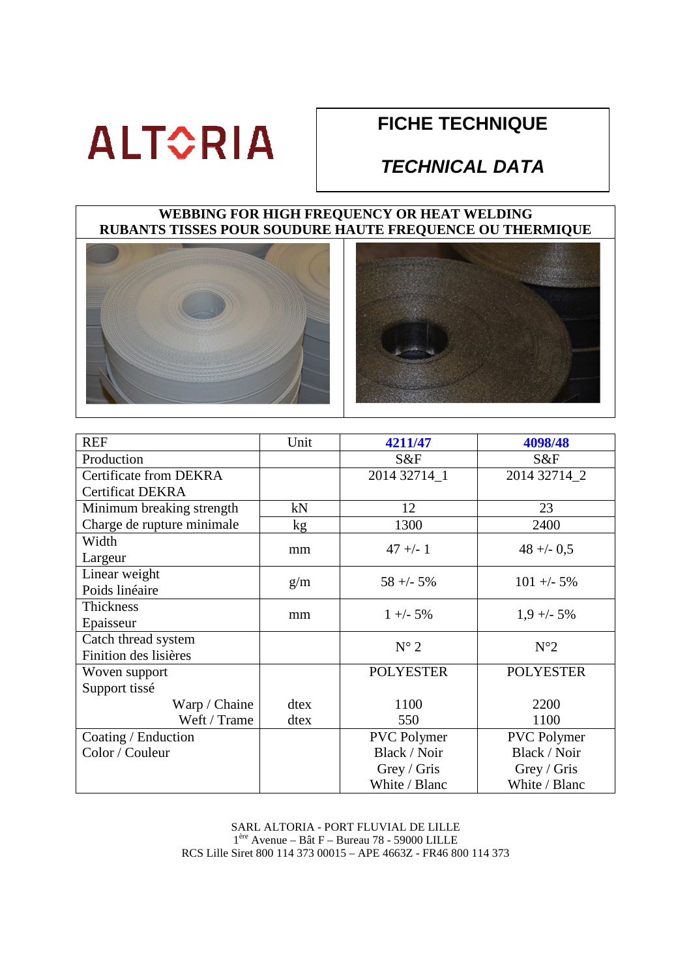# **ALTORIA**

### **FICHE TECHNIQUE**

### **TECHNICAL DATA**

#### **WEBBING FOR HIGH FREQUENCY OR HEAT WELDING RUBANTS TISSES POUR SOUDURE HAUTE FREQUENCE OU THERMIQUE**





| <b>REF</b>                    | Unit | 4211/47            | 4098/48            |
|-------------------------------|------|--------------------|--------------------|
| Production                    |      | S&F                | S&F                |
| <b>Certificate from DEKRA</b> |      | 2014 32714 1       | 2014 32714 2       |
| <b>Certificat DEKRA</b>       |      |                    |                    |
| Minimum breaking strength     | kN   | 12                 | 23                 |
| Charge de rupture minimale    | kg   | 1300               | 2400               |
| Width                         | mm   | $47 + - 1$         | $48 + -0.5$        |
| Largeur                       |      |                    |                    |
| Linear weight                 |      | $58 + -5\%$        | $101 + -5\%$       |
| Poids linéaire                | g/m  |                    |                    |
| Thickness                     |      | $1 + -5\%$         | $1,9 + -5\%$       |
| Epaisseur                     | mm   |                    |                    |
| Catch thread system           |      | $N^{\circ}$ 2      | $N^{\circ}2$       |
| Finition des lisières         |      |                    |                    |
| Woven support                 |      | <b>POLYESTER</b>   | <b>POLYESTER</b>   |
| Support tissé                 |      |                    |                    |
| Warp / Chaine                 | dtex | 1100               | 2200               |
| Weft / Trame                  | dtex | 550                | 1100               |
| Coating / Enduction           |      | <b>PVC</b> Polymer | <b>PVC</b> Polymer |
| Color / Couleur               |      | Black / Noir       | Black / Noir       |
|                               |      | Grey / Gris        | Grey / Gris        |
|                               |      | White / Blanc      | White / Blanc      |

SARL ALTORIA - PORT FLUVIAL DE LILLE 1 ère Avenue – Bât F – Bureau 78 - 59000 LILLE RCS Lille Siret 800 114 373 00015 – APE 4663Z - FR46 800 114 373